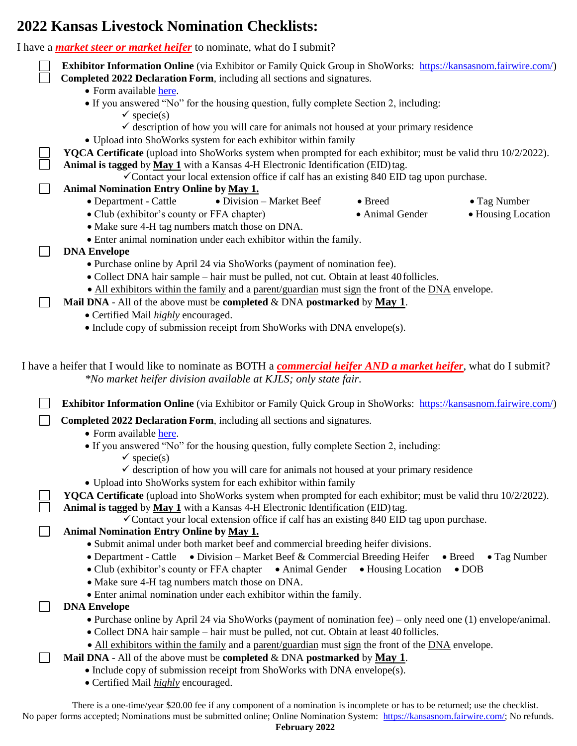## **2022 Kansas Livestock Nomination Checklists:**

I have a *market steer or market heifer* to nominate, what do I submit?

| r nave a <i>murket steer or murket neijer</i> to hommate, what do I submit?                                                                                                 |  |
|-----------------------------------------------------------------------------------------------------------------------------------------------------------------------------|--|
| Exhibitor Information Online (via Exhibitor or Family Quick Group in ShoWorks: https://kansasnom.fairwire.com/)                                                             |  |
| Completed 2022 Declaration Form, including all sections and signatures.                                                                                                     |  |
| • Form available here.                                                                                                                                                      |  |
| • If you answered "No" for the housing question, fully complete Section 2, including:                                                                                       |  |
| $\checkmark$ specie(s)                                                                                                                                                      |  |
| $\checkmark$ description of how you will care for animals not housed at your primary residence                                                                              |  |
| • Upload into ShoWorks system for each exhibitor within family                                                                                                              |  |
| YQCA Certificate (upload into ShoWorks system when prompted for each exhibitor; must be valid thru 10/2/2022).                                                              |  |
| Animal is tagged by May 1 with a Kansas 4-H Electronic Identification (EID) tag.<br>√Contact your local extension office if calf has an existing 840 EID tag upon purchase. |  |
| Animal Nomination Entry Online by May 1.                                                                                                                                    |  |
| • Department - Cattle<br>• Division - Market Beef<br>• Breed<br>• Tag Number                                                                                                |  |
| · Club (exhibitor's county or FFA chapter)<br>• Housing Location<br>• Animal Gender                                                                                         |  |
| • Make sure 4-H tag numbers match those on DNA.                                                                                                                             |  |
| • Enter animal nomination under each exhibitor within the family.                                                                                                           |  |
| <b>DNA Envelope</b>                                                                                                                                                         |  |
| • Purchase online by April 24 via ShoWorks (payment of nomination fee).                                                                                                     |  |
| • Collect DNA hair sample – hair must be pulled, not cut. Obtain at least 40 follicles.                                                                                     |  |
| • All exhibitors within the family and a parent/guardian must sign the front of the DNA envelope.                                                                           |  |
| <b>Mail DNA</b> - All of the above must be <b>completed</b> & DNA <b>postmarked</b> by <b>May 1</b> .                                                                       |  |
| • Certified Mail <i>highly</i> encouraged.                                                                                                                                  |  |
| • Include copy of submission receipt from ShoWorks with DNA envelope(s).                                                                                                    |  |
|                                                                                                                                                                             |  |
| *No market heifer division available at KJLS; only state fair.                                                                                                              |  |
| <b>Exhibitor Information Online</b> (via Exhibitor or Family Quick Group in ShoWorks: https://kansasnom.fairwire.com/)                                                      |  |
| Completed 2022 Declaration Form, including all sections and signatures.<br>• Form available here.                                                                           |  |
| • If you answered "No" for the housing question, fully complete Section 2, including:                                                                                       |  |
| $\checkmark$ specie(s)                                                                                                                                                      |  |
| $\checkmark$ description of how you will care for animals not housed at your primary residence<br>• Upload into ShoWorks system for each exhibitor within family            |  |
| <b>YQCA Certificate</b> (upload into ShoWorks system when prompted for each exhibitor; must be valid thru 10/2/2022).                                                       |  |
| Animal is tagged by May 1 with a Kansas 4-H Electronic Identification (EID) tag.                                                                                            |  |
| √Contact your local extension office if calf has an existing 840 EID tag upon purchase.                                                                                     |  |
| Animal Nomination Entry Online by May 1.                                                                                                                                    |  |
| • Submit animal under both market beef and commercial breeding heifer divisions.                                                                                            |  |
| • Department - Cattle • Division – Market Beef & Commercial Breeding Heifer<br>$\bullet$ Breed $\bullet$ Tag Number                                                         |  |
| • Club (exhibitor's county or FFA chapter • Animal Gender • Housing Location<br>$\bullet$ DOB                                                                               |  |
| • Make sure 4-H tag numbers match those on DNA.                                                                                                                             |  |
| • Enter animal nomination under each exhibitor within the family.                                                                                                           |  |
| <b>DNA Envelope</b>                                                                                                                                                         |  |
| • Purchase online by April 24 via ShoWorks (payment of nomination fee) – only need one (1) envelope/animal.                                                                 |  |
| • Collect DNA hair sample – hair must be pulled, not cut. Obtain at least 40 follicles.                                                                                     |  |
| • All exhibitors within the family and a parent/guardian must sign the front of the DNA envelope.                                                                           |  |
| <b>Mail DNA</b> - All of the above must be <b>completed</b> & DNA <b>postmarked</b> by <b>May 1</b> .                                                                       |  |
| • Include copy of submission receipt from ShoWorks with DNA envelope(s).                                                                                                    |  |
| • Certified Mail <i>highly</i> encouraged.                                                                                                                                  |  |
|                                                                                                                                                                             |  |
| There is a one-time/year \$20.00 fee if any component of a nomination is incomplete or has to be returned; use the checklist.                                               |  |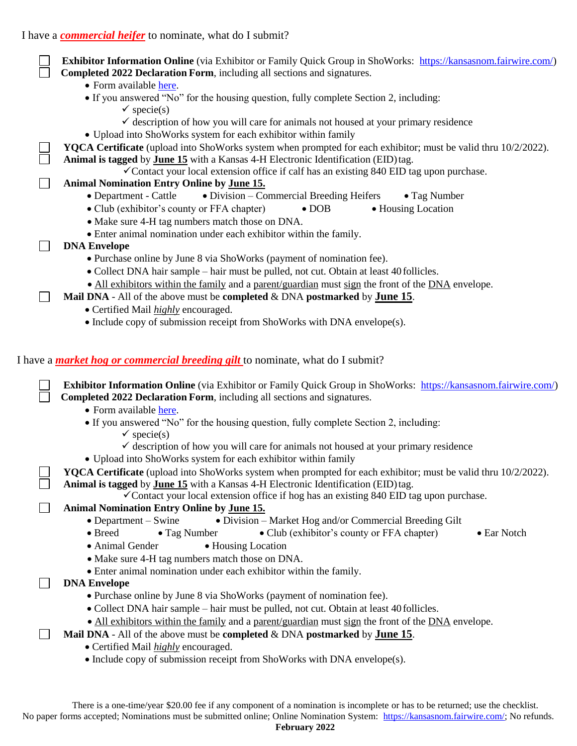I have a *commercial heifer* to nominate, what do I submit?

**Exhibitor Information Online** (via Exhibitor or Family Quick Group in ShoWorks: [https://kansasnom.fairwire.com/\)](https://kansasnom.fairwire.com/)  **Completed 2022 Declaration Form**, including all sections and signatures.

- Form available [here.](http://asi.ksu.edu/22_DeclarationForm.pdf)
- If you answered "No" for the housing question, fully complete Section 2, including:
	- $\checkmark$  specie(s)
	- $\checkmark$  description of how you will care for animals not housed at your primary residence
- Upload into ShoWorks system for each exhibitor within family
- **YQCA Certificate** (upload into ShoWorks system when prompted for each exhibitor; must be valid thru 10/2/2022).
- Animal is tagged by **June 15** with a Kansas 4-H Electronic Identification (EID)tag.
	- Contact your local extension office if calf has an existing  $840$  EID tag upon purchase.
- **Animal Nomination Entry Online by June 15.**
	- Department Cattle • Division Commercial Breeding Heifers • Tag Number
	- Club (exhibitor's county or FFA chapter) DOB Housing Location
	- Make sure 4-H tag numbers match those on DNA.
	- Enter animal nomination under each exhibitor within the family.
- **DNA Envelope**
	- Purchase online by June 8 via ShoWorks (payment of nomination fee).
	- Collect DNA hair sample hair must be pulled, not cut. Obtain at least 40 follicles.
	- All exhibitors within the family and a parent/guardian must sign the front of the DNA envelope.
- **Mail DNA** All of the above must be **completed** & DNA **postmarked** by **June 15**.
	- Certified Mail *highly* encouraged.
	- Include copy of submission receipt from ShoWorks with DNA envelope(s).

## I have a *market hog or commercial breeding gilt* to nominate, what do I submit?

**Exhibitor Information Online** (via Exhibitor or Family Quick Group in ShoWorks: [https://kansasnom.fairwire.com/\)](https://kansasnom.fairwire.com/)  **Completed 2022 Declaration Form**, including all sections and signatures. • Form available [here.](http://asi.ksu.edu/22_DeclarationForm.pdf) If you answered "No" for the housing question, fully complete Section 2, including:  $\checkmark$  specie(s)  $\checkmark$  description of how you will care for animals not housed at your primary residence Upload into ShoWorks system for each exhibitor within family  **YQCA Certificate** (upload into ShoWorks system when prompted for each exhibitor; must be valid thru 10/2/2022). **Animal is tagged** by **June 15** with a Kansas 4-H Electronic Identification (EID)tag.  $\checkmark$  Contact your local extension office if hog has an existing 840 EID tag upon purchase.  **Animal Nomination Entry Online by June 15.** • Department – Swine • Division – Market Hog and/or Commercial Breeding Gilt • Breed • Tag Number • Club (exhibitor's county or FFA chapter) • Ear Notch • Animal Gender • Housing Location • Make sure 4-H tag numbers match those on DNA. Enter animal nomination under each exhibitor within the family. **DNA Envelope** Purchase online by June 8 via ShoWorks (payment of nomination fee). Collect DNA hair sample – hair must be pulled, not cut. Obtain at least 40 follicles. • All exhibitors within the family and a parent/guardian must sign the front of the DNA envelope. **Mail DNA** - All of the above must be **completed** & DNA **postmarked** by **June 15**. Certified Mail *highly* encouraged. • Include copy of submission receipt from ShoWorks with DNA envelope(s).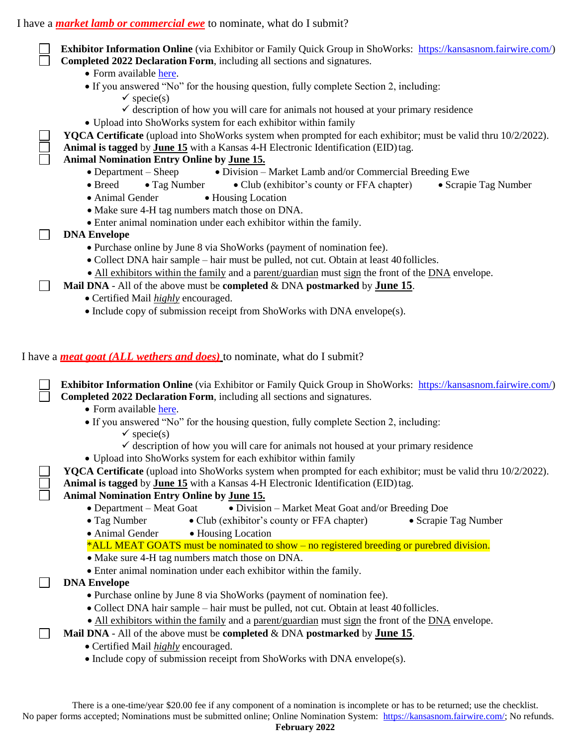I have a *market lamb or commercial ewe* to nominate, what do I submit?

|                                                                                 | <b>Exhibitor Information Online</b> (via Exhibitor or Family Quick Group in ShoWorks: https://kansasnom.fairwire.com/)                                                                                      |  |
|---------------------------------------------------------------------------------|-------------------------------------------------------------------------------------------------------------------------------------------------------------------------------------------------------------|--|
|                                                                                 | Completed 2022 Declaration Form, including all sections and signatures.                                                                                                                                     |  |
|                                                                                 | • Form available here.                                                                                                                                                                                      |  |
|                                                                                 | • If you answered "No" for the housing question, fully complete Section 2, including:                                                                                                                       |  |
|                                                                                 | $\checkmark$ specie(s)                                                                                                                                                                                      |  |
|                                                                                 | $\checkmark$ description of how you will care for animals not housed at your primary residence                                                                                                              |  |
|                                                                                 | • Upload into ShoWorks system for each exhibitor within family                                                                                                                                              |  |
|                                                                                 | <b>YQCA Certificate</b> (upload into ShoWorks system when prompted for each exhibitor; must be valid thru 10/2/2022).                                                                                       |  |
|                                                                                 | Animal is tagged by June 15 with a Kansas 4-H Electronic Identification (EID) tag.                                                                                                                          |  |
|                                                                                 | <b>Animal Nomination Entry Online by June 15.</b>                                                                                                                                                           |  |
|                                                                                 | • Division – Market Lamb and/or Commercial Breeding Ewe<br>$\bullet$ Department – Sheep                                                                                                                     |  |
|                                                                                 | • Breed<br>• Club (exhibitor's county or FFA chapter)<br>• Scrapie Tag Number<br>$\bullet$ Tag Number                                                                                                       |  |
|                                                                                 | • Animal Gender<br>• Housing Location                                                                                                                                                                       |  |
|                                                                                 | • Make sure 4-H tag numbers match those on DNA.                                                                                                                                                             |  |
|                                                                                 | • Enter animal nomination under each exhibitor within the family.                                                                                                                                           |  |
|                                                                                 | <b>DNA Envelope</b>                                                                                                                                                                                         |  |
|                                                                                 | • Purchase online by June 8 via ShoWorks (payment of nomination fee).                                                                                                                                       |  |
|                                                                                 | • Collect DNA hair sample – hair must be pulled, not cut. Obtain at least 40 follicles.                                                                                                                     |  |
|                                                                                 | • All exhibitors within the family and a parent/guardian must sign the front of the DNA envelope.                                                                                                           |  |
|                                                                                 | Mail DNA - All of the above must be completed & DNA postmarked by June 15.                                                                                                                                  |  |
|                                                                                 | • Certified Mail <i>highly</i> encouraged.                                                                                                                                                                  |  |
|                                                                                 | • Include copy of submission receipt from ShoWorks with DNA envelope(s).                                                                                                                                    |  |
| I have a <i>meat goat (ALL wethers and does)</i> to nominate, what do I submit? |                                                                                                                                                                                                             |  |
|                                                                                 | <b>Exhibitor Information Online</b> (via Exhibitor or Family Quick Group in ShoWorks: https://kansasnom.fairwire.com/)<br>Completed 2022 Declaration Form, including all sections and signatures.           |  |
|                                                                                 | • Form available here.                                                                                                                                                                                      |  |
|                                                                                 | • If you answered "No" for the housing question, fully complete Section 2, including:                                                                                                                       |  |
|                                                                                 | $\checkmark$ specie(s)                                                                                                                                                                                      |  |
|                                                                                 | $\checkmark$ description of how you will care for animals not housed at your primary residence                                                                                                              |  |
|                                                                                 | · Upload into ShoWorks system for each exhibitor within family                                                                                                                                              |  |
|                                                                                 | <b>YQCA Certificate</b> (upload into ShoWorks system when prompted for each exhibitor; must be valid thru 10/2/2022).<br>Animal is tagged by June 15 with a Kansas 4-H Electronic Identification (EID) tag. |  |
|                                                                                 | <b>Animal Nomination Entry Online by June 15.</b>                                                                                                                                                           |  |
|                                                                                 | $\bullet$ Department – Meat Goat<br>• Division - Market Meat Goat and/or Breeding Doe                                                                                                                       |  |
|                                                                                 | • Tag Number<br>• Club (exhibitor's county or FFA chapter)<br>• Scrapie Tag Number                                                                                                                          |  |
|                                                                                 | · Animal Gender<br>• Housing Location                                                                                                                                                                       |  |
|                                                                                 | *ALL MEAT GOATS must be nominated to show – no registered breeding or purebred division.                                                                                                                    |  |
|                                                                                 | • Make sure 4-H tag numbers match those on DNA.                                                                                                                                                             |  |
|                                                                                 | • Enter animal nomination under each exhibitor within the family.                                                                                                                                           |  |
|                                                                                 | <b>DNA Envelope</b>                                                                                                                                                                                         |  |
|                                                                                 | • Purchase online by June 8 via ShoWorks (payment of nomination fee).                                                                                                                                       |  |
|                                                                                 | • Collect DNA hair sample – hair must be pulled, not cut. Obtain at least 40 follicles.                                                                                                                     |  |
|                                                                                 | • All exhibitors within the family and a parent/guardian must sign the front of the DNA envelope.                                                                                                           |  |
|                                                                                 | Mail DNA - All of the above must be completed $&$ DNA postmarked by June 15.                                                                                                                                |  |
|                                                                                 | • Certified Mail <i>highly</i> encouraged.                                                                                                                                                                  |  |
|                                                                                 | • Include copy of submission receipt from ShoWorks with DNA envelope(s).                                                                                                                                    |  |
|                                                                                 |                                                                                                                                                                                                             |  |